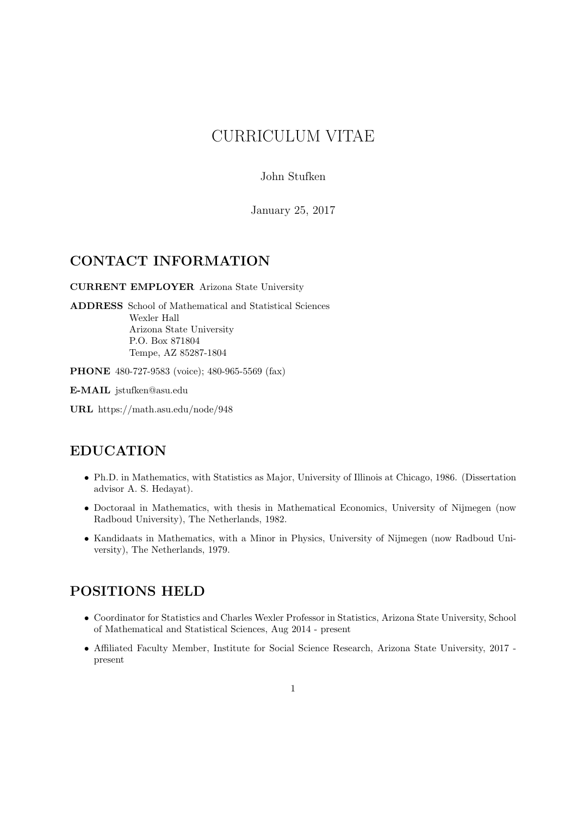# CURRICULUM VITAE

John Stufken

January 25, 2017

# CONTACT INFORMATION

CURRENT EMPLOYER Arizona State University

ADDRESS School of Mathematical and Statistical Sciences Wexler Hall Arizona State University P.O. Box 871804 Tempe, AZ 85287-1804

PHONE 480-727-9583 (voice); 480-965-5569 (fax)

E-MAIL jstufken@asu.edu

URL https://math.asu.edu/node/948

# EDUCATION

- Ph.D. in Mathematics, with Statistics as Major, University of Illinois at Chicago, 1986. (Dissertation advisor A. S. Hedayat).
- Doctoraal in Mathematics, with thesis in Mathematical Economics, University of Nijmegen (now Radboud University), The Netherlands, 1982.
- Kandidaats in Mathematics, with a Minor in Physics, University of Nijmegen (now Radboud University), The Netherlands, 1979.

# POSITIONS HELD

- Coordinator for Statistics and Charles Wexler Professor in Statistics, Arizona State University, School of Mathematical and Statistical Sciences, Aug 2014 - present
- Affiliated Faculty Member, Institute for Social Science Research, Arizona State University, 2017 present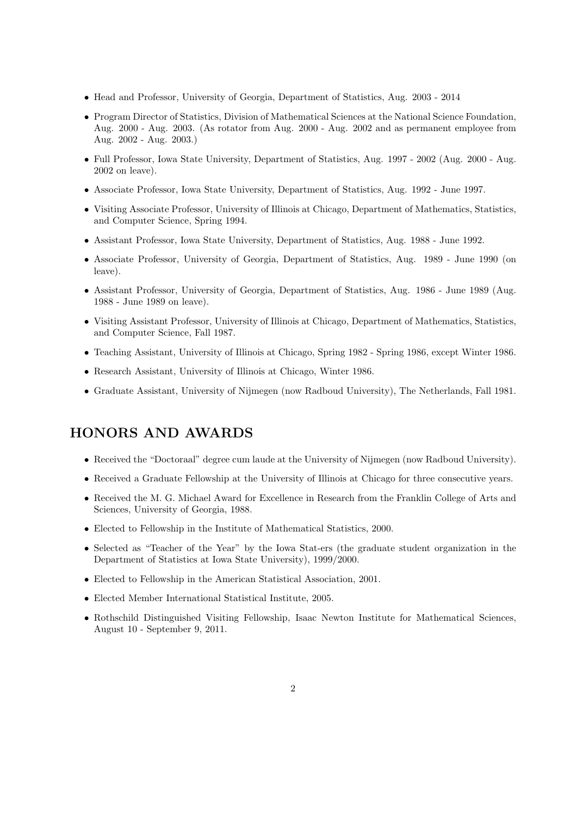- Head and Professor, University of Georgia, Department of Statistics, Aug. 2003 2014
- Program Director of Statistics, Division of Mathematical Sciences at the National Science Foundation, Aug. 2000 - Aug. 2003. (As rotator from Aug. 2000 - Aug. 2002 and as permanent employee from Aug. 2002 - Aug. 2003.)
- Full Professor, Iowa State University, Department of Statistics, Aug. 1997 2002 (Aug. 2000 Aug. 2002 on leave).
- Associate Professor, Iowa State University, Department of Statistics, Aug. 1992 June 1997.
- Visiting Associate Professor, University of Illinois at Chicago, Department of Mathematics, Statistics, and Computer Science, Spring 1994.
- Assistant Professor, Iowa State University, Department of Statistics, Aug. 1988 June 1992.
- Associate Professor, University of Georgia, Department of Statistics, Aug. 1989 June 1990 (on leave).
- Assistant Professor, University of Georgia, Department of Statistics, Aug. 1986 June 1989 (Aug. 1988 - June 1989 on leave).
- Visiting Assistant Professor, University of Illinois at Chicago, Department of Mathematics, Statistics, and Computer Science, Fall 1987.
- Teaching Assistant, University of Illinois at Chicago, Spring 1982 Spring 1986, except Winter 1986.
- Research Assistant, University of Illinois at Chicago, Winter 1986.
- Graduate Assistant, University of Nijmegen (now Radboud University), The Netherlands, Fall 1981.

## HONORS AND AWARDS

- Received the "Doctoraal" degree cum laude at the University of Nijmegen (now Radboud University).
- Received a Graduate Fellowship at the University of Illinois at Chicago for three consecutive years.
- Received the M. G. Michael Award for Excellence in Research from the Franklin College of Arts and Sciences, University of Georgia, 1988.
- Elected to Fellowship in the Institute of Mathematical Statistics, 2000.
- Selected as "Teacher of the Year" by the Iowa Stat-ers (the graduate student organization in the Department of Statistics at Iowa State University), 1999/2000.
- Elected to Fellowship in the American Statistical Association, 2001.
- Elected Member International Statistical Institute, 2005.
- Rothschild Distinguished Visiting Fellowship, Isaac Newton Institute for Mathematical Sciences, August 10 - September 9, 2011.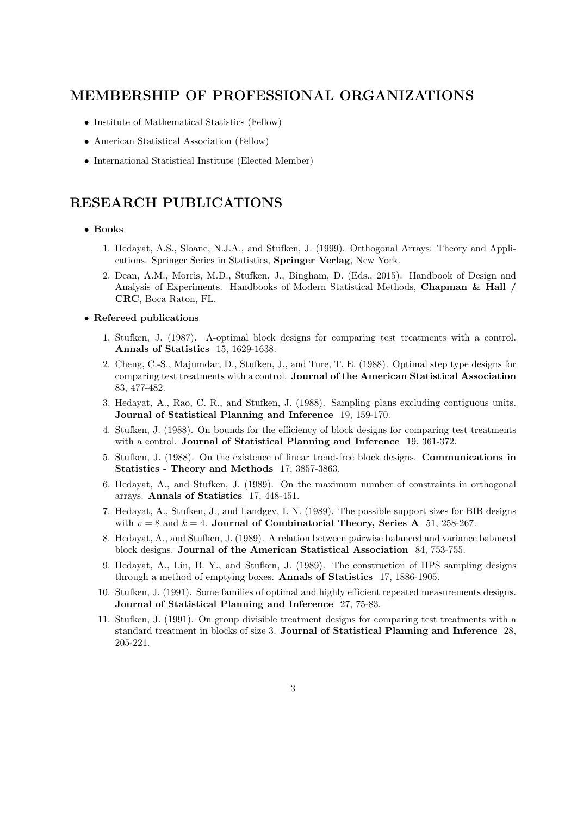## MEMBERSHIP OF PROFESSIONAL ORGANIZATIONS

- Institute of Mathematical Statistics (Fellow)
- American Statistical Association (Fellow)
- International Statistical Institute (Elected Member)

## RESEARCH PUBLICATIONS

### • Books

- 1. Hedayat, A.S., Sloane, N.J.A., and Stufken, J. (1999). Orthogonal Arrays: Theory and Applications. Springer Series in Statistics, Springer Verlag, New York.
- 2. Dean, A.M., Morris, M.D., Stufken, J., Bingham, D. (Eds., 2015). Handbook of Design and Analysis of Experiments. Handbooks of Modern Statistical Methods, Chapman & Hall / CRC, Boca Raton, FL.

#### • Refereed publications

- 1. Stufken, J. (1987). A-optimal block designs for comparing test treatments with a control. Annals of Statistics 15, 1629-1638.
- 2. Cheng, C.-S., Majumdar, D., Stufken, J., and Ture, T. E. (1988). Optimal step type designs for comparing test treatments with a control. Journal of the American Statistical Association 83, 477-482.
- 3. Hedayat, A., Rao, C. R., and Stufken, J. (1988). Sampling plans excluding contiguous units. Journal of Statistical Planning and Inference 19, 159-170.
- 4. Stufken, J. (1988). On bounds for the efficiency of block designs for comparing test treatments with a control. **Journal of Statistical Planning and Inference** 19, 361-372.
- 5. Stufken, J. (1988). On the existence of linear trend-free block designs. Communications in Statistics - Theory and Methods 17, 3857-3863.
- 6. Hedayat, A., and Stufken, J. (1989). On the maximum number of constraints in orthogonal arrays. Annals of Statistics 17, 448-451.
- 7. Hedayat, A., Stufken, J., and Landgev, I. N. (1989). The possible support sizes for BIB designs with  $v = 8$  and  $k = 4$ . Journal of Combinatorial Theory, Series A 51, 258-267.
- 8. Hedayat, A., and Stufken, J. (1989). A relation between pairwise balanced and variance balanced block designs. Journal of the American Statistical Association 84, 753-755.
- 9. Hedayat, A., Lin, B. Y., and Stufken, J. (1989). The construction of ΠPS sampling designs through a method of emptying boxes. Annals of Statistics 17, 1886-1905.
- 10. Stufken, J. (1991). Some families of optimal and highly efficient repeated measurements designs. Journal of Statistical Planning and Inference 27, 75-83.
- 11. Stufken, J. (1991). On group divisible treatment designs for comparing test treatments with a standard treatment in blocks of size 3. Journal of Statistical Planning and Inference 28, 205-221.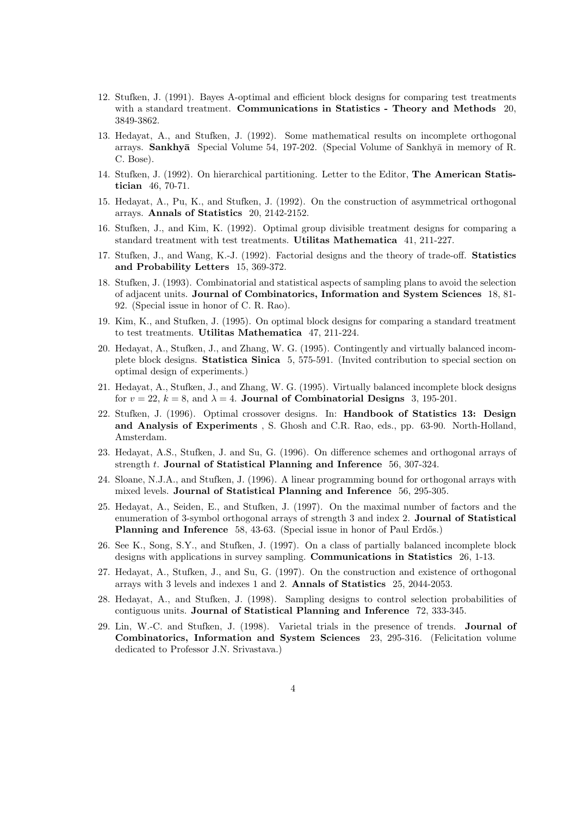- 12. Stufken, J. (1991). Bayes A-optimal and efficient block designs for comparing test treatments with a standard treatment. Communications in Statistics - Theory and Methods 20, 3849-3862.
- 13. Hedayat, A., and Stufken, J. (1992). Some mathematical results on incomplete orthogonal arrays. Sankhyā Special Volume 54, 197-202. (Special Volume of Sankhyā in memory of R. C. Bose).
- 14. Stufken, J. (1992). On hierarchical partitioning. Letter to the Editor, The American Statistician 46, 70-71.
- 15. Hedayat, A., Pu, K., and Stufken, J. (1992). On the construction of asymmetrical orthogonal arrays. Annals of Statistics 20, 2142-2152.
- 16. Stufken, J., and Kim, K. (1992). Optimal group divisible treatment designs for comparing a standard treatment with test treatments. Utilitas Mathematica 41, 211-227.
- 17. Stufken, J., and Wang, K.-J. (1992). Factorial designs and the theory of trade-off. Statistics and Probability Letters 15, 369-372.
- 18. Stufken, J. (1993). Combinatorial and statistical aspects of sampling plans to avoid the selection of adjacent units. Journal of Combinatorics, Information and System Sciences 18, 81- 92. (Special issue in honor of C. R. Rao).
- 19. Kim, K., and Stufken, J. (1995). On optimal block designs for comparing a standard treatment to test treatments. Utilitas Mathematica 47, 211-224.
- 20. Hedayat, A., Stufken, J., and Zhang, W. G. (1995). Contingently and virtually balanced incomplete block designs. Statistica Sinica 5, 575-591. (Invited contribution to special section on optimal design of experiments.)
- 21. Hedayat, A., Stufken, J., and Zhang, W. G. (1995). Virtually balanced incomplete block designs for  $v = 22$ ,  $k = 8$ , and  $\lambda = 4$ . **Journal of Combinatorial Designs** 3, 195-201.
- 22. Stufken, J. (1996). Optimal crossover designs. In: Handbook of Statistics 13: Design and Analysis of Experiments , S. Ghosh and C.R. Rao, eds., pp. 63-90. North-Holland, Amsterdam.
- 23. Hedayat, A.S., Stufken, J. and Su, G. (1996). On difference schemes and orthogonal arrays of strength t. Journal of Statistical Planning and Inference 56, 307-324.
- 24. Sloane, N.J.A., and Stufken, J. (1996). A linear programming bound for orthogonal arrays with mixed levels. Journal of Statistical Planning and Inference 56, 295-305.
- 25. Hedayat, A., Seiden, E., and Stufken, J. (1997). On the maximal number of factors and the enumeration of 3-symbol orthogonal arrays of strength 3 and index 2. Journal of Statistical Planning and Inference 58, 43-63. (Special issue in honor of Paul Erdős.)
- 26. See K., Song, S.Y., and Stufken, J. (1997). On a class of partially balanced incomplete block designs with applications in survey sampling. Communications in Statistics 26, 1-13.
- 27. Hedayat, A., Stufken, J., and Su, G. (1997). On the construction and existence of orthogonal arrays with 3 levels and indexes 1 and 2. Annals of Statistics 25, 2044-2053.
- 28. Hedayat, A., and Stufken, J. (1998). Sampling designs to control selection probabilities of contiguous units. Journal of Statistical Planning and Inference 72, 333-345.
- 29. Lin, W.-C. and Stufken, J. (1998). Varietal trials in the presence of trends. Journal of Combinatorics, Information and System Sciences 23, 295-316. (Felicitation volume dedicated to Professor J.N. Srivastava.)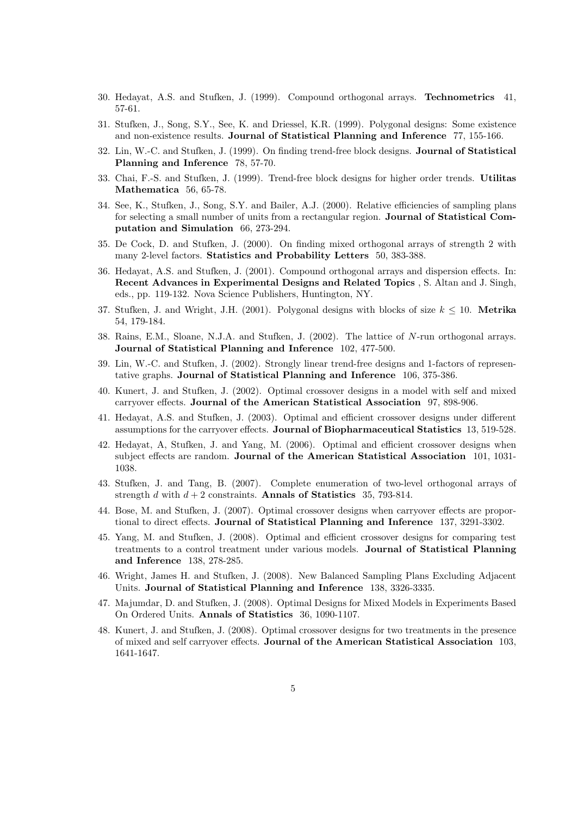- 30. Hedayat, A.S. and Stufken, J. (1999). Compound orthogonal arrays. Technometrics 41, 57-61.
- 31. Stufken, J., Song, S.Y., See, K. and Driessel, K.R. (1999). Polygonal designs: Some existence and non-existence results. Journal of Statistical Planning and Inference 77, 155-166.
- 32. Lin, W.-C. and Stufken, J. (1999). On finding trend-free block designs. Journal of Statistical Planning and Inference 78, 57-70.
- 33. Chai, F.-S. and Stufken, J. (1999). Trend-free block designs for higher order trends. Utilitas Mathematica 56, 65-78.
- 34. See, K., Stufken, J., Song, S.Y. and Bailer, A.J. (2000). Relative efficiencies of sampling plans for selecting a small number of units from a rectangular region. **Journal of Statistical Com**putation and Simulation 66, 273-294.
- 35. De Cock, D. and Stufken, J. (2000). On finding mixed orthogonal arrays of strength 2 with many 2-level factors. Statistics and Probability Letters 50, 383-388.
- 36. Hedayat, A.S. and Stufken, J. (2001). Compound orthogonal arrays and dispersion effects. In: Recent Advances in Experimental Designs and Related Topics , S. Altan and J. Singh, eds., pp. 119-132. Nova Science Publishers, Huntington, NY.
- 37. Stufken, J. and Wright, J.H. (2001). Polygonal designs with blocks of size  $k \leq 10$ . Metrika 54, 179-184.
- 38. Rains, E.M., Sloane, N.J.A. and Stufken, J. (2002). The lattice of N-run orthogonal arrays. Journal of Statistical Planning and Inference 102, 477-500.
- 39. Lin, W.-C. and Stufken, J. (2002). Strongly linear trend-free designs and 1-factors of representative graphs. Journal of Statistical Planning and Inference 106, 375-386.
- 40. Kunert, J. and Stufken, J. (2002). Optimal crossover designs in a model with self and mixed carryover effects. Journal of the American Statistical Association 97, 898-906.
- 41. Hedayat, A.S. and Stufken, J. (2003). Optimal and efficient crossover designs under different assumptions for the carryover effects. Journal of Biopharmaceutical Statistics 13, 519-528.
- 42. Hedayat, A, Stufken, J. and Yang, M. (2006). Optimal and efficient crossover designs when subject effects are random. Journal of the American Statistical Association 101, 1031- 1038.
- 43. Stufken, J. and Tang, B. (2007). Complete enumeration of two-level orthogonal arrays of strength d with  $d + 2$  constraints. Annals of Statistics 35, 793-814.
- 44. Bose, M. and Stufken, J. (2007). Optimal crossover designs when carryover effects are proportional to direct effects. Journal of Statistical Planning and Inference 137, 3291-3302.
- 45. Yang, M. and Stufken, J. (2008). Optimal and efficient crossover designs for comparing test treatments to a control treatment under various models. Journal of Statistical Planning and Inference 138, 278-285.
- 46. Wright, James H. and Stufken, J. (2008). New Balanced Sampling Plans Excluding Adjacent Units. Journal of Statistical Planning and Inference 138, 3326-3335.
- 47. Majumdar, D. and Stufken, J. (2008). Optimal Designs for Mixed Models in Experiments Based On Ordered Units. Annals of Statistics 36, 1090-1107.
- 48. Kunert, J. and Stufken, J. (2008). Optimal crossover designs for two treatments in the presence of mixed and self carryover effects. Journal of the American Statistical Association 103, 1641-1647.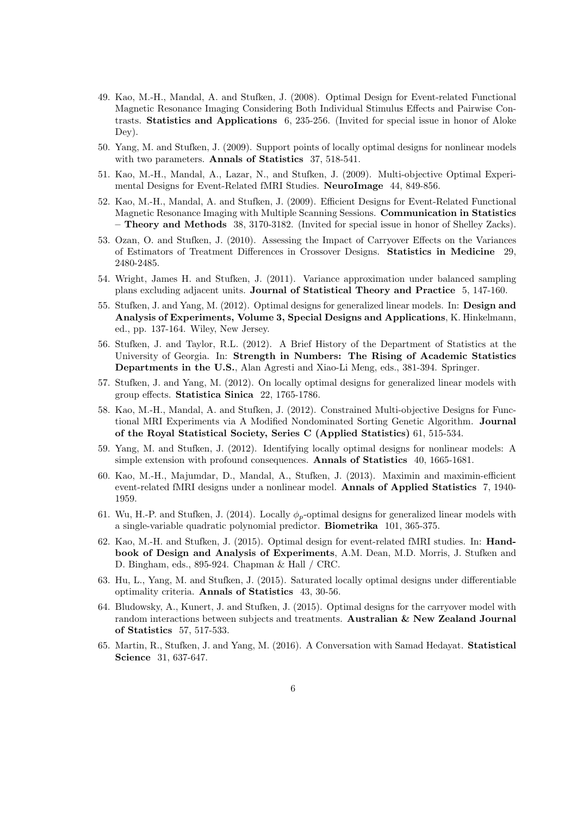- 49. Kao, M.-H., Mandal, A. and Stufken, J. (2008). Optimal Design for Event-related Functional Magnetic Resonance Imaging Considering Both Individual Stimulus Effects and Pairwise Contrasts. Statistics and Applications 6, 235-256. (Invited for special issue in honor of Aloke Dey).
- 50. Yang, M. and Stufken, J. (2009). Support points of locally optimal designs for nonlinear models with two parameters. **Annals of Statistics** 37, 518-541.
- 51. Kao, M.-H., Mandal, A., Lazar, N., and Stufken, J. (2009). Multi-objective Optimal Experimental Designs for Event-Related fMRI Studies. NeuroImage 44, 849-856.
- 52. Kao, M.-H., Mandal, A. and Stufken, J. (2009). Efficient Designs for Event-Related Functional Magnetic Resonance Imaging with Multiple Scanning Sessions. Communication in Statistics – Theory and Methods 38, 3170-3182. (Invited for special issue in honor of Shelley Zacks).
- 53. Ozan, O. and Stufken, J. (2010). Assessing the Impact of Carryover Effects on the Variances of Estimators of Treatment Differences in Crossover Designs. Statistics in Medicine 29, 2480-2485.
- 54. Wright, James H. and Stufken, J. (2011). Variance approximation under balanced sampling plans excluding adjacent units. Journal of Statistical Theory and Practice 5, 147-160.
- 55. Stufken, J. and Yang, M. (2012). Optimal designs for generalized linear models. In: Design and Analysis of Experiments, Volume 3, Special Designs and Applications, K. Hinkelmann, ed., pp. 137-164. Wiley, New Jersey.
- 56. Stufken, J. and Taylor, R.L. (2012). A Brief History of the Department of Statistics at the University of Georgia. In: Strength in Numbers: The Rising of Academic Statistics Departments in the U.S., Alan Agresti and Xiao-Li Meng, eds., 381-394. Springer.
- 57. Stufken, J. and Yang, M. (2012). On locally optimal designs for generalized linear models with group effects. Statistica Sinica 22, 1765-1786.
- 58. Kao, M.-H., Mandal, A. and Stufken, J. (2012). Constrained Multi-objective Designs for Functional MRI Experiments via A Modified Nondominated Sorting Genetic Algorithm. Journal of the Royal Statistical Society, Series C (Applied Statistics) 61, 515-534.
- 59. Yang, M. and Stufken, J. (2012). Identifying locally optimal designs for nonlinear models: A simple extension with profound consequences. Annals of Statistics 40, 1665-1681.
- 60. Kao, M.-H., Majumdar, D., Mandal, A., Stufken, J. (2013). Maximin and maximin-efficient event-related fMRI designs under a nonlinear model. Annals of Applied Statistics 7, 1940- 1959.
- 61. Wu, H.-P. and Stufken, J. (2014). Locally  $\phi_p$ -optimal designs for generalized linear models with a single-variable quadratic polynomial predictor. Biometrika 101, 365-375.
- 62. Kao, M.-H. and Stufken, J. (2015). Optimal design for event-related fMRI studies. In: Handbook of Design and Analysis of Experiments, A.M. Dean, M.D. Morris, J. Stufken and D. Bingham, eds., 895-924. Chapman & Hall / CRC.
- 63. Hu, L., Yang, M. and Stufken, J. (2015). Saturated locally optimal designs under differentiable optimality criteria. Annals of Statistics 43, 30-56.
- 64. Bludowsky, A., Kunert, J. and Stufken, J. (2015). Optimal designs for the carryover model with random interactions between subjects and treatments. Australian & New Zealand Journal of Statistics 57, 517-533.
- 65. Martin, R., Stufken, J. and Yang, M. (2016). A Conversation with Samad Hedayat. Statistical Science 31, 637-647.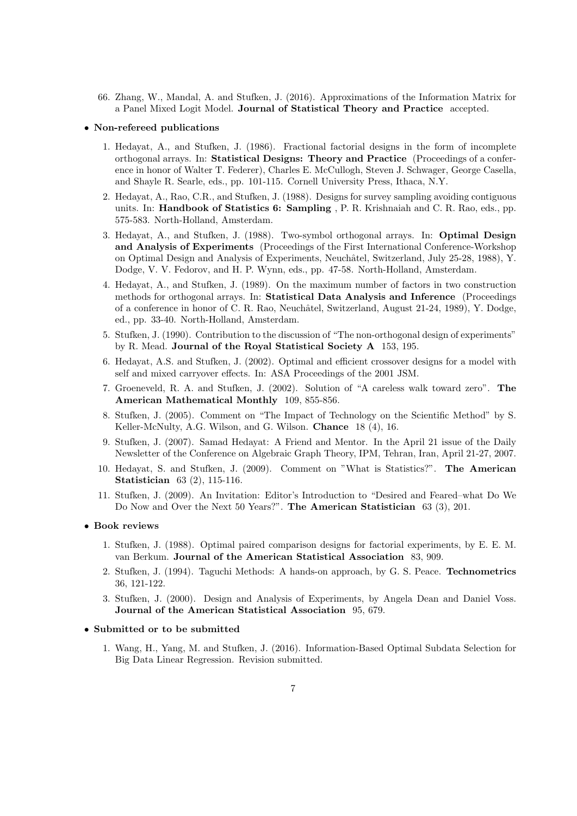66. Zhang, W., Mandal, A. and Stufken, J. (2016). Approximations of the Information Matrix for a Panel Mixed Logit Model. Journal of Statistical Theory and Practice accepted.

#### • Non-refereed publications

- 1. Hedayat, A., and Stufken, J. (1986). Fractional factorial designs in the form of incomplete orthogonal arrays. In: Statistical Designs: Theory and Practice (Proceedings of a conference in honor of Walter T. Federer), Charles E. McCullogh, Steven J. Schwager, George Casella, and Shayle R. Searle, eds., pp. 101-115. Cornell University Press, Ithaca, N.Y.
- 2. Hedayat, A., Rao, C.R., and Stufken, J. (1988). Designs for survey sampling avoiding contiguous units. In: Handbook of Statistics 6: Sampling , P. R. Krishnaiah and C. R. Rao, eds., pp. 575-583. North-Holland, Amsterdam.
- 3. Hedayat, A., and Stufken, J. (1988). Two-symbol orthogonal arrays. In: Optimal Design and Analysis of Experiments (Proceedings of the First International Conference-Workshop on Optimal Design and Analysis of Experiments, Neuchâtel, Switzerland, July 25-28, 1988), Y. Dodge, V. V. Fedorov, and H. P. Wynn, eds., pp. 47-58. North-Holland, Amsterdam.
- 4. Hedayat, A., and Stufken, J. (1989). On the maximum number of factors in two construction methods for orthogonal arrays. In: Statistical Data Analysis and Inference (Proceedings of a conference in honor of C. R. Rao, Neuchâtel, Switzerland, August 21-24, 1989), Y. Dodge, ed., pp. 33-40. North-Holland, Amsterdam.
- 5. Stufken, J. (1990). Contribution to the discussion of "The non-orthogonal design of experiments" by R. Mead. Journal of the Royal Statistical Society A 153, 195.
- 6. Hedayat, A.S. and Stufken, J. (2002). Optimal and efficient crossover designs for a model with self and mixed carryover effects. In: ASA Proceedings of the 2001 JSM.
- 7. Groeneveld, R. A. and Stufken, J. (2002). Solution of "A careless walk toward zero". The American Mathematical Monthly 109, 855-856.
- 8. Stufken, J. (2005). Comment on "The Impact of Technology on the Scientific Method" by S. Keller-McNulty, A.G. Wilson, and G. Wilson. Chance 18 (4), 16.
- 9. Stufken, J. (2007). Samad Hedayat: A Friend and Mentor. In the April 21 issue of the Daily Newsletter of the Conference on Algebraic Graph Theory, IPM, Tehran, Iran, April 21-27, 2007.
- 10. Hedayat, S. and Stufken, J. (2009). Comment on "What is Statistics?". The American Statistician 63 (2), 115-116.
- 11. Stufken, J. (2009). An Invitation: Editor's Introduction to "Desired and Feared–what Do We Do Now and Over the Next 50 Years?". The American Statistician 63 (3), 201.

#### • Book reviews

- 1. Stufken, J. (1988). Optimal paired comparison designs for factorial experiments, by E. E. M. van Berkum. Journal of the American Statistical Association 83, 909.
- 2. Stufken, J. (1994). Taguchi Methods: A hands-on approach, by G. S. Peace. Technometrics 36, 121-122.
- 3. Stufken, J. (2000). Design and Analysis of Experiments, by Angela Dean and Daniel Voss. Journal of the American Statistical Association 95, 679.

#### • Submitted or to be submitted

1. Wang, H., Yang, M. and Stufken, J. (2016). Information-Based Optimal Subdata Selection for Big Data Linear Regression. Revision submitted.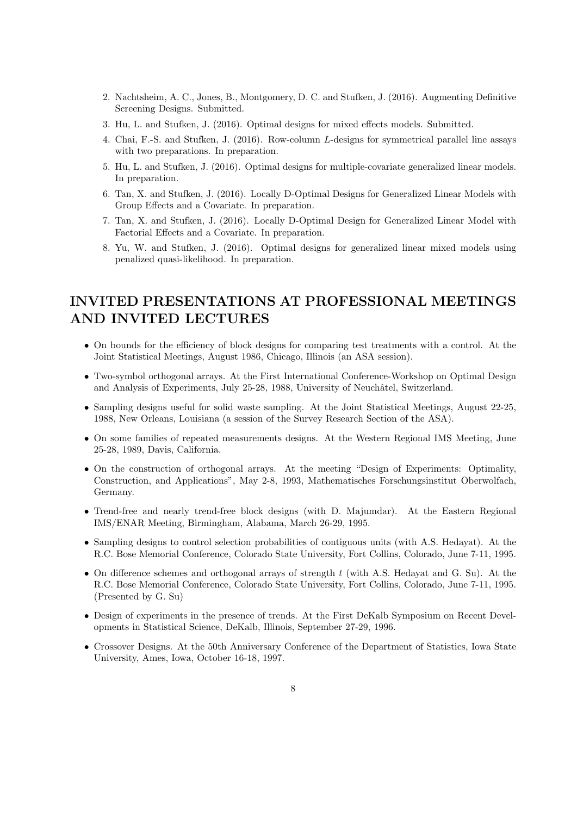- 2. Nachtsheim, A. C., Jones, B., Montgomery, D. C. and Stufken, J. (2016). Augmenting Definitive Screening Designs. Submitted.
- 3. Hu, L. and Stufken, J. (2016). Optimal designs for mixed effects models. Submitted.
- 4. Chai, F.-S. and Stufken, J. (2016). Row-column L-designs for symmetrical parallel line assays with two preparations. In preparation.
- 5. Hu, L. and Stufken, J. (2016). Optimal designs for multiple-covariate generalized linear models. In preparation.
- 6. Tan, X. and Stufken, J. (2016). Locally D-Optimal Designs for Generalized Linear Models with Group Effects and a Covariate. In preparation.
- 7. Tan, X. and Stufken, J. (2016). Locally D-Optimal Design for Generalized Linear Model with Factorial Effects and a Covariate. In preparation.
- 8. Yu, W. and Stufken, J. (2016). Optimal designs for generalized linear mixed models using penalized quasi-likelihood. In preparation.

# INVITED PRESENTATIONS AT PROFESSIONAL MEETINGS AND INVITED LECTURES

- On bounds for the efficiency of block designs for comparing test treatments with a control. At the Joint Statistical Meetings, August 1986, Chicago, Illinois (an ASA session).
- Two-symbol orthogonal arrays. At the First International Conference-Workshop on Optimal Design and Analysis of Experiments, July 25-28, 1988, University of Neuchâtel, Switzerland.
- Sampling designs useful for solid waste sampling. At the Joint Statistical Meetings, August 22-25, 1988, New Orleans, Louisiana (a session of the Survey Research Section of the ASA).
- On some families of repeated measurements designs. At the Western Regional IMS Meeting, June 25-28, 1989, Davis, California.
- On the construction of orthogonal arrays. At the meeting "Design of Experiments: Optimality, Construction, and Applications", May 2-8, 1993, Mathematisches Forschungsinstitut Oberwolfach, Germany.
- Trend-free and nearly trend-free block designs (with D. Majumdar). At the Eastern Regional IMS/ENAR Meeting, Birmingham, Alabama, March 26-29, 1995.
- Sampling designs to control selection probabilities of contiguous units (with A.S. Hedayat). At the R.C. Bose Memorial Conference, Colorado State University, Fort Collins, Colorado, June 7-11, 1995.
- On difference schemes and orthogonal arrays of strength  $t$  (with A.S. Hedayat and G. Su). At the R.C. Bose Memorial Conference, Colorado State University, Fort Collins, Colorado, June 7-11, 1995. (Presented by G. Su)
- Design of experiments in the presence of trends. At the First DeKalb Symposium on Recent Developments in Statistical Science, DeKalb, Illinois, September 27-29, 1996.
- Crossover Designs. At the 50th Anniversary Conference of the Department of Statistics, Iowa State University, Ames, Iowa, October 16-18, 1997.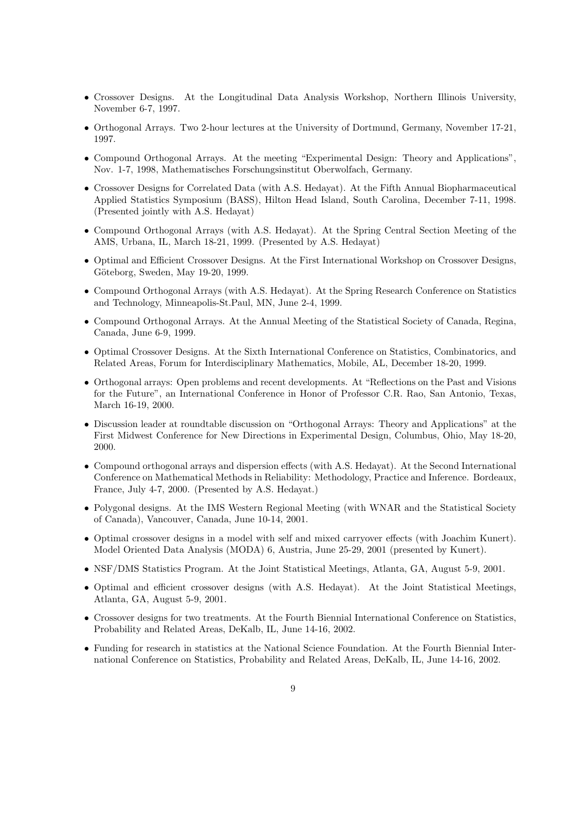- Crossover Designs. At the Longitudinal Data Analysis Workshop, Northern Illinois University, November 6-7, 1997.
- Orthogonal Arrays. Two 2-hour lectures at the University of Dortmund, Germany, November 17-21, 1997.
- Compound Orthogonal Arrays. At the meeting "Experimental Design: Theory and Applications", Nov. 1-7, 1998, Mathematisches Forschungsinstitut Oberwolfach, Germany.
- Crossover Designs for Correlated Data (with A.S. Hedayat). At the Fifth Annual Biopharmaceutical Applied Statistics Symposium (BASS), Hilton Head Island, South Carolina, December 7-11, 1998. (Presented jointly with A.S. Hedayat)
- Compound Orthogonal Arrays (with A.S. Hedayat). At the Spring Central Section Meeting of the AMS, Urbana, IL, March 18-21, 1999. (Presented by A.S. Hedayat)
- Optimal and Efficient Crossover Designs. At the First International Workshop on Crossover Designs, Göteborg, Sweden, May 19-20, 1999.
- Compound Orthogonal Arrays (with A.S. Hedayat). At the Spring Research Conference on Statistics and Technology, Minneapolis-St.Paul, MN, June 2-4, 1999.
- Compound Orthogonal Arrays. At the Annual Meeting of the Statistical Society of Canada, Regina, Canada, June 6-9, 1999.
- Optimal Crossover Designs. At the Sixth International Conference on Statistics, Combinatorics, and Related Areas, Forum for Interdisciplinary Mathematics, Mobile, AL, December 18-20, 1999.
- Orthogonal arrays: Open problems and recent developments. At "Reflections on the Past and Visions for the Future", an International Conference in Honor of Professor C.R. Rao, San Antonio, Texas, March 16-19, 2000.
- Discussion leader at roundtable discussion on "Orthogonal Arrays: Theory and Applications" at the First Midwest Conference for New Directions in Experimental Design, Columbus, Ohio, May 18-20, 2000.
- Compound orthogonal arrays and dispersion effects (with A.S. Hedayat). At the Second International Conference on Mathematical Methods in Reliability: Methodology, Practice and Inference. Bordeaux, France, July 4-7, 2000. (Presented by A.S. Hedayat.)
- Polygonal designs. At the IMS Western Regional Meeting (with WNAR and the Statistical Society of Canada), Vancouver, Canada, June 10-14, 2001.
- Optimal crossover designs in a model with self and mixed carryover effects (with Joachim Kunert). Model Oriented Data Analysis (MODA) 6, Austria, June 25-29, 2001 (presented by Kunert).
- NSF/DMS Statistics Program. At the Joint Statistical Meetings, Atlanta, GA, August 5-9, 2001.
- Optimal and efficient crossover designs (with A.S. Hedayat). At the Joint Statistical Meetings, Atlanta, GA, August 5-9, 2001.
- Crossover designs for two treatments. At the Fourth Biennial International Conference on Statistics, Probability and Related Areas, DeKalb, IL, June 14-16, 2002.
- Funding for research in statistics at the National Science Foundation. At the Fourth Biennial International Conference on Statistics, Probability and Related Areas, DeKalb, IL, June 14-16, 2002.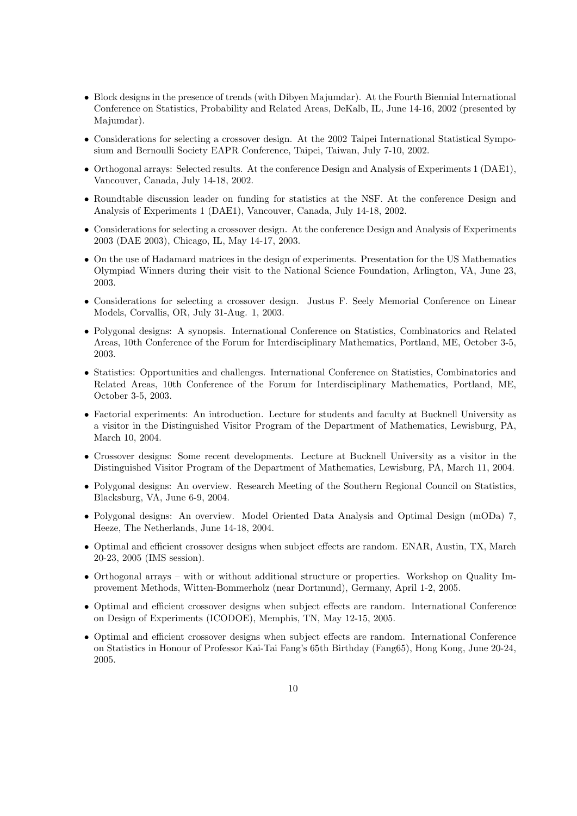- Block designs in the presence of trends (with Dibyen Majumdar). At the Fourth Biennial International Conference on Statistics, Probability and Related Areas, DeKalb, IL, June 14-16, 2002 (presented by Majumdar).
- Considerations for selecting a crossover design. At the 2002 Taipei International Statistical Symposium and Bernoulli Society EAPR Conference, Taipei, Taiwan, July 7-10, 2002.
- Orthogonal arrays: Selected results. At the conference Design and Analysis of Experiments 1 (DAE1), Vancouver, Canada, July 14-18, 2002.
- Roundtable discussion leader on funding for statistics at the NSF. At the conference Design and Analysis of Experiments 1 (DAE1), Vancouver, Canada, July 14-18, 2002.
- Considerations for selecting a crossover design. At the conference Design and Analysis of Experiments 2003 (DAE 2003), Chicago, IL, May 14-17, 2003.
- On the use of Hadamard matrices in the design of experiments. Presentation for the US Mathematics Olympiad Winners during their visit to the National Science Foundation, Arlington, VA, June 23, 2003.
- Considerations for selecting a crossover design. Justus F. Seely Memorial Conference on Linear Models, Corvallis, OR, July 31-Aug. 1, 2003.
- Polygonal designs: A synopsis. International Conference on Statistics, Combinatorics and Related Areas, 10th Conference of the Forum for Interdisciplinary Mathematics, Portland, ME, October 3-5, 2003.
- Statistics: Opportunities and challenges. International Conference on Statistics, Combinatorics and Related Areas, 10th Conference of the Forum for Interdisciplinary Mathematics, Portland, ME, October 3-5, 2003.
- Factorial experiments: An introduction. Lecture for students and faculty at Bucknell University as a visitor in the Distinguished Visitor Program of the Department of Mathematics, Lewisburg, PA, March 10, 2004.
- Crossover designs: Some recent developments. Lecture at Bucknell University as a visitor in the Distinguished Visitor Program of the Department of Mathematics, Lewisburg, PA, March 11, 2004.
- Polygonal designs: An overview. Research Meeting of the Southern Regional Council on Statistics, Blacksburg, VA, June 6-9, 2004.
- Polygonal designs: An overview. Model Oriented Data Analysis and Optimal Design (mODa) 7, Heeze, The Netherlands, June 14-18, 2004.
- Optimal and efficient crossover designs when subject effects are random. ENAR, Austin, TX, March 20-23, 2005 (IMS session).
- Orthogonal arrays with or without additional structure or properties. Workshop on Quality Improvement Methods, Witten-Bommerholz (near Dortmund), Germany, April 1-2, 2005.
- Optimal and efficient crossover designs when subject effects are random. International Conference on Design of Experiments (ICODOE), Memphis, TN, May 12-15, 2005.
- Optimal and efficient crossover designs when subject effects are random. International Conference on Statistics in Honour of Professor Kai-Tai Fang's 65th Birthday (Fang65), Hong Kong, June 20-24, 2005.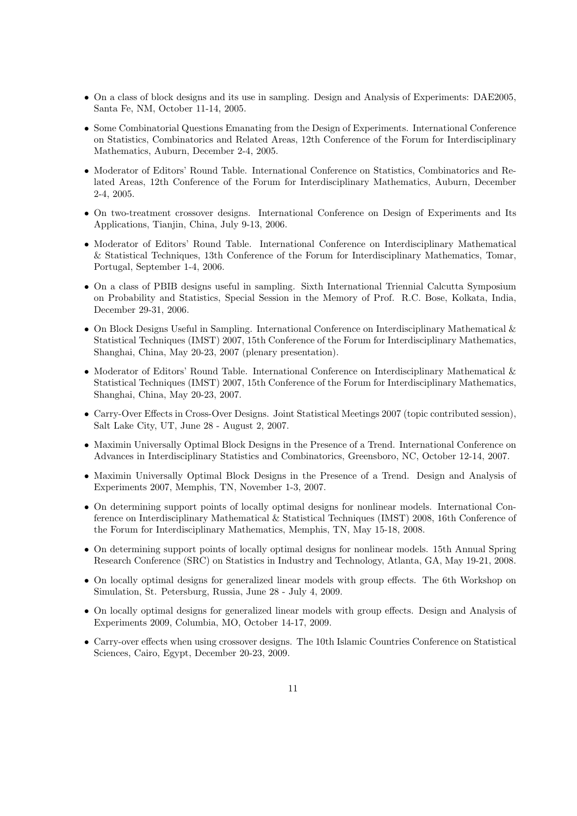- On a class of block designs and its use in sampling. Design and Analysis of Experiments: DAE2005, Santa Fe, NM, October 11-14, 2005.
- Some Combinatorial Questions Emanating from the Design of Experiments. International Conference on Statistics, Combinatorics and Related Areas, 12th Conference of the Forum for Interdisciplinary Mathematics, Auburn, December 2-4, 2005.
- Moderator of Editors' Round Table. International Conference on Statistics, Combinatorics and Related Areas, 12th Conference of the Forum for Interdisciplinary Mathematics, Auburn, December 2-4, 2005.
- On two-treatment crossover designs. International Conference on Design of Experiments and Its Applications, Tianjin, China, July 9-13, 2006.
- Moderator of Editors' Round Table. International Conference on Interdisciplinary Mathematical & Statistical Techniques, 13th Conference of the Forum for Interdisciplinary Mathematics, Tomar, Portugal, September 1-4, 2006.
- On a class of PBIB designs useful in sampling. Sixth International Triennial Calcutta Symposium on Probability and Statistics, Special Session in the Memory of Prof. R.C. Bose, Kolkata, India, December 29-31, 2006.
- On Block Designs Useful in Sampling. International Conference on Interdisciplinary Mathematical & Statistical Techniques (IMST) 2007, 15th Conference of the Forum for Interdisciplinary Mathematics, Shanghai, China, May 20-23, 2007 (plenary presentation).
- Moderator of Editors' Round Table. International Conference on Interdisciplinary Mathematical & Statistical Techniques (IMST) 2007, 15th Conference of the Forum for Interdisciplinary Mathematics, Shanghai, China, May 20-23, 2007.
- Carry-Over Effects in Cross-Over Designs. Joint Statistical Meetings 2007 (topic contributed session), Salt Lake City, UT, June 28 - August 2, 2007.
- Maximin Universally Optimal Block Designs in the Presence of a Trend. International Conference on Advances in Interdisciplinary Statistics and Combinatorics, Greensboro, NC, October 12-14, 2007.
- Maximin Universally Optimal Block Designs in the Presence of a Trend. Design and Analysis of Experiments 2007, Memphis, TN, November 1-3, 2007.
- On determining support points of locally optimal designs for nonlinear models. International Conference on Interdisciplinary Mathematical & Statistical Techniques (IMST) 2008, 16th Conference of the Forum for Interdisciplinary Mathematics, Memphis, TN, May 15-18, 2008.
- On determining support points of locally optimal designs for nonlinear models. 15th Annual Spring Research Conference (SRC) on Statistics in Industry and Technology, Atlanta, GA, May 19-21, 2008.
- On locally optimal designs for generalized linear models with group effects. The 6th Workshop on Simulation, St. Petersburg, Russia, June 28 - July 4, 2009.
- On locally optimal designs for generalized linear models with group effects. Design and Analysis of Experiments 2009, Columbia, MO, October 14-17, 2009.
- Carry-over effects when using crossover designs. The 10th Islamic Countries Conference on Statistical Sciences, Cairo, Egypt, December 20-23, 2009.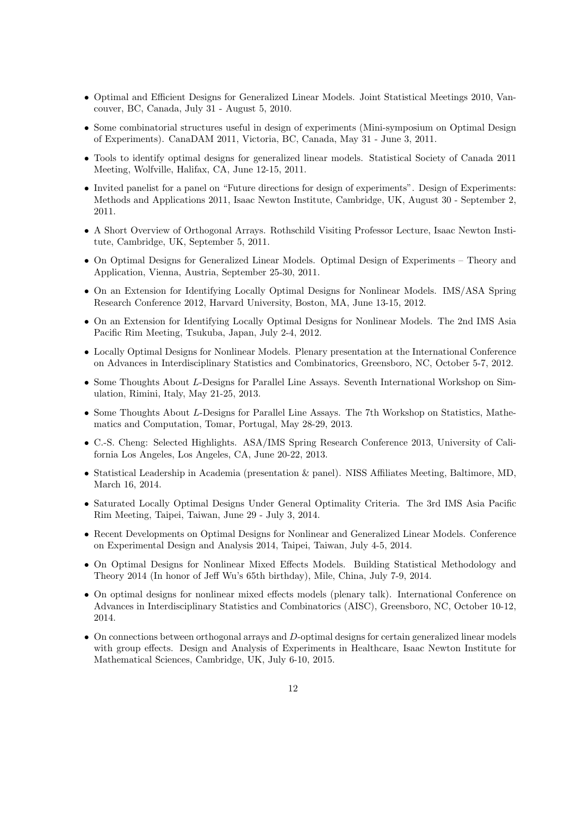- Optimal and Efficient Designs for Generalized Linear Models. Joint Statistical Meetings 2010, Vancouver, BC, Canada, July 31 - August 5, 2010.
- Some combinatorial structures useful in design of experiments (Mini-symposium on Optimal Design of Experiments). CanaDAM 2011, Victoria, BC, Canada, May 31 - June 3, 2011.
- Tools to identify optimal designs for generalized linear models. Statistical Society of Canada 2011 Meeting, Wolfville, Halifax, CA, June 12-15, 2011.
- Invited panelist for a panel on "Future directions for design of experiments". Design of Experiments: Methods and Applications 2011, Isaac Newton Institute, Cambridge, UK, August 30 - September 2, 2011.
- A Short Overview of Orthogonal Arrays. Rothschild Visiting Professor Lecture, Isaac Newton Institute, Cambridge, UK, September 5, 2011.
- On Optimal Designs for Generalized Linear Models. Optimal Design of Experiments Theory and Application, Vienna, Austria, September 25-30, 2011.
- On an Extension for Identifying Locally Optimal Designs for Nonlinear Models. IMS/ASA Spring Research Conference 2012, Harvard University, Boston, MA, June 13-15, 2012.
- On an Extension for Identifying Locally Optimal Designs for Nonlinear Models. The 2nd IMS Asia Pacific Rim Meeting, Tsukuba, Japan, July 2-4, 2012.
- Locally Optimal Designs for Nonlinear Models. Plenary presentation at the International Conference on Advances in Interdisciplinary Statistics and Combinatorics, Greensboro, NC, October 5-7, 2012.
- Some Thoughts About L-Designs for Parallel Line Assays. Seventh International Workshop on Simulation, Rimini, Italy, May 21-25, 2013.
- Some Thoughts About L-Designs for Parallel Line Assays. The 7th Workshop on Statistics, Mathematics and Computation, Tomar, Portugal, May 28-29, 2013.
- C.-S. Cheng: Selected Highlights. ASA/IMS Spring Research Conference 2013, University of California Los Angeles, Los Angeles, CA, June 20-22, 2013.
- Statistical Leadership in Academia (presentation & panel). NISS Affiliates Meeting, Baltimore, MD, March 16, 2014.
- Saturated Locally Optimal Designs Under General Optimality Criteria. The 3rd IMS Asia Pacific Rim Meeting, Taipei, Taiwan, June 29 - July 3, 2014.
- Recent Developments on Optimal Designs for Nonlinear and Generalized Linear Models. Conference on Experimental Design and Analysis 2014, Taipei, Taiwan, July 4-5, 2014.
- On Optimal Designs for Nonlinear Mixed Effects Models. Building Statistical Methodology and Theory 2014 (In honor of Jeff Wu's 65th birthday), Mile, China, July 7-9, 2014.
- On optimal designs for nonlinear mixed effects models (plenary talk). International Conference on Advances in Interdisciplinary Statistics and Combinatorics (AISC), Greensboro, NC, October 10-12, 2014.
- On connections between orthogonal arrays and D-optimal designs for certain generalized linear models with group effects. Design and Analysis of Experiments in Healthcare, Isaac Newton Institute for Mathematical Sciences, Cambridge, UK, July 6-10, 2015.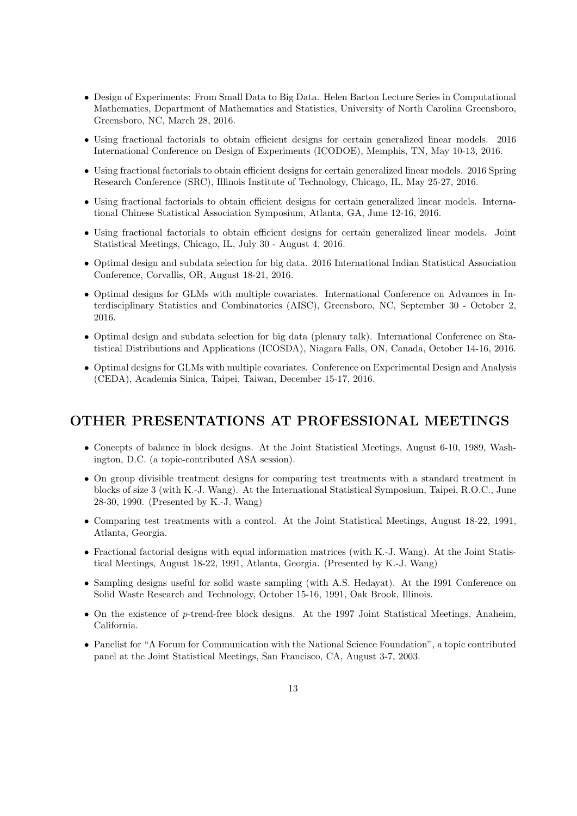- Design of Experiments: From Small Data to Big Data. Helen Barton Lecture Series in Computational Mathematics, Department of Mathematics and Statistics, University of North Carolina Greensboro, Greensboro, NC, March 28, 2016.
- Using fractional factorials to obtain efficient designs for certain generalized linear models. 2016 International Conference on Design of Experiments (ICODOE), Memphis, TN, May 10-13, 2016.
- Using fractional factorials to obtain efficient designs for certain generalized linear models. 2016 Spring Research Conference (SRC), Illinois Institute of Technology, Chicago, IL, May 25-27, 2016.
- Using fractional factorials to obtain efficient designs for certain generalized linear models. International Chinese Statistical Association Symposium, Atlanta, GA, June 12-16, 2016.
- Using fractional factorials to obtain efficient designs for certain generalized linear models. Joint Statistical Meetings, Chicago, IL, July 30 - August 4, 2016.
- Optimal design and subdata selection for big data. 2016 International Indian Statistical Association Conference, Corvallis, OR, August 18-21, 2016.
- Optimal designs for GLMs with multiple covariates. International Conference on Advances in Interdisciplinary Statistics and Combinatorics (AISC), Greensboro, NC, September 30 - October 2, 2016.
- Optimal design and subdata selection for big data (plenary talk). International Conference on Statistical Distributions and Applications (ICOSDA), Niagara Falls, ON, Canada, October 14-16, 2016.
- Optimal designs for GLMs with multiple covariates. Conference on Experimental Design and Analysis (CEDA), Academia Sinica, Taipei, Taiwan, December 15-17, 2016.

# OTHER PRESENTATIONS AT PROFESSIONAL MEETINGS

- Concepts of balance in block designs. At the Joint Statistical Meetings, August 6-10, 1989, Washington, D.C. (a topic-contributed ASA session).
- On group divisible treatment designs for comparing test treatments with a standard treatment in blocks of size 3 (with K.-J. Wang). At the International Statistical Symposium, Taipei, R.O.C., June 28-30, 1990. (Presented by K.-J. Wang)
- Comparing test treatments with a control. At the Joint Statistical Meetings, August 18-22, 1991, Atlanta, Georgia.
- Fractional factorial designs with equal information matrices (with K.-J. Wang). At the Joint Statistical Meetings, August 18-22, 1991, Atlanta, Georgia. (Presented by K.-J. Wang)
- Sampling designs useful for solid waste sampling (with A.S. Hedayat). At the 1991 Conference on Solid Waste Research and Technology, October 15-16, 1991, Oak Brook, Illinois.
- On the existence of  $p$ -trend-free block designs. At the 1997 Joint Statistical Meetings, Anaheim, California.
- Panelist for "A Forum for Communication with the National Science Foundation", a topic contributed panel at the Joint Statistical Meetings, San Francisco, CA, August 3-7, 2003.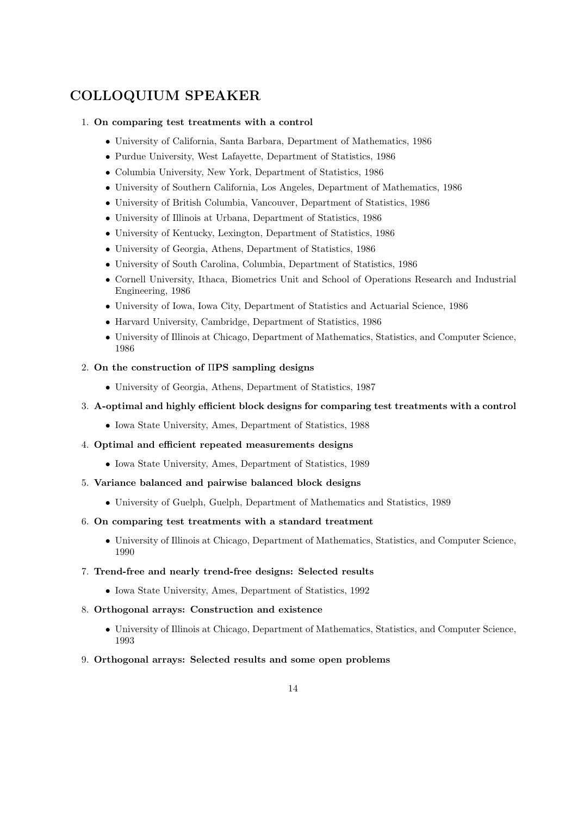# COLLOQUIUM SPEAKER

### 1. On comparing test treatments with a control

- University of California, Santa Barbara, Department of Mathematics, 1986
- Purdue University, West Lafayette, Department of Statistics, 1986
- Columbia University, New York, Department of Statistics, 1986
- University of Southern California, Los Angeles, Department of Mathematics, 1986
- University of British Columbia, Vancouver, Department of Statistics, 1986
- University of Illinois at Urbana, Department of Statistics, 1986
- University of Kentucky, Lexington, Department of Statistics, 1986
- University of Georgia, Athens, Department of Statistics, 1986
- University of South Carolina, Columbia, Department of Statistics, 1986
- Cornell University, Ithaca, Biometrics Unit and School of Operations Research and Industrial Engineering, 1986
- University of Iowa, Iowa City, Department of Statistics and Actuarial Science, 1986
- Harvard University, Cambridge, Department of Statistics, 1986
- University of Illinois at Chicago, Department of Mathematics, Statistics, and Computer Science, 1986

### 2. On the construction of ΠPS sampling designs

• University of Georgia, Athens, Department of Statistics, 1987

#### 3. A-optimal and highly efficient block designs for comparing test treatments with a control

- Iowa State University, Ames, Department of Statistics, 1988
- 4. Optimal and efficient repeated measurements designs
	- Iowa State University, Ames, Department of Statistics, 1989
- 5. Variance balanced and pairwise balanced block designs
	- University of Guelph, Guelph, Department of Mathematics and Statistics, 1989

#### 6. On comparing test treatments with a standard treatment

- University of Illinois at Chicago, Department of Mathematics, Statistics, and Computer Science, 1990
- 7. Trend-free and nearly trend-free designs: Selected results
	- Iowa State University, Ames, Department of Statistics, 1992
- 8. Orthogonal arrays: Construction and existence
	- University of Illinois at Chicago, Department of Mathematics, Statistics, and Computer Science, 1993
- 9. Orthogonal arrays: Selected results and some open problems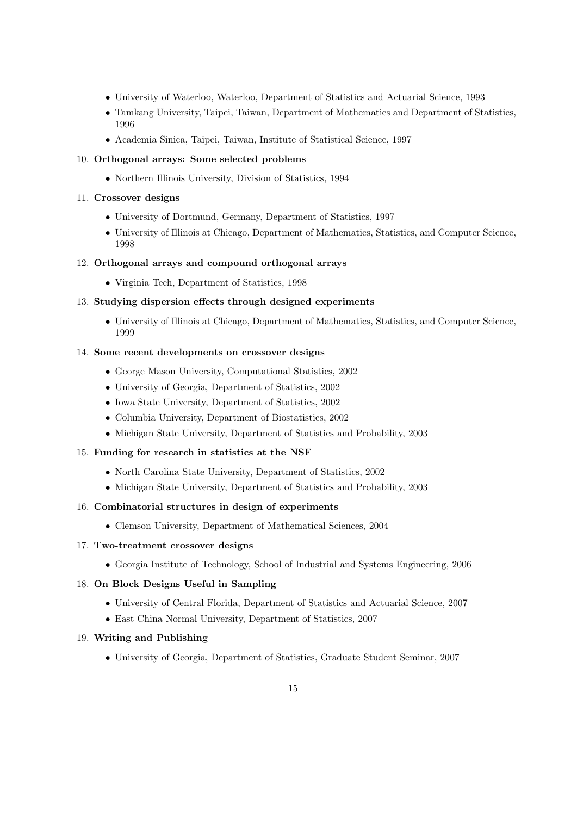- University of Waterloo, Waterloo, Department of Statistics and Actuarial Science, 1993
- Tamkang University, Taipei, Taiwan, Department of Mathematics and Department of Statistics, 1996
- Academia Sinica, Taipei, Taiwan, Institute of Statistical Science, 1997

## 10. Orthogonal arrays: Some selected problems

• Northern Illinois University, Division of Statistics, 1994

## 11. Crossover designs

- University of Dortmund, Germany, Department of Statistics, 1997
- University of Illinois at Chicago, Department of Mathematics, Statistics, and Computer Science, 1998

## 12. Orthogonal arrays and compound orthogonal arrays

• Virginia Tech, Department of Statistics, 1998

## 13. Studying dispersion effects through designed experiments

• University of Illinois at Chicago, Department of Mathematics, Statistics, and Computer Science, 1999

## 14. Some recent developments on crossover designs

- George Mason University, Computational Statistics, 2002
- University of Georgia, Department of Statistics, 2002
- Iowa State University, Department of Statistics, 2002
- Columbia University, Department of Biostatistics, 2002
- Michigan State University, Department of Statistics and Probability, 2003

## 15. Funding for research in statistics at the NSF

- North Carolina State University, Department of Statistics, 2002
- Michigan State University, Department of Statistics and Probability, 2003

### 16. Combinatorial structures in design of experiments

• Clemson University, Department of Mathematical Sciences, 2004

### 17. Two-treatment crossover designs

• Georgia Institute of Technology, School of Industrial and Systems Engineering, 2006

## 18. On Block Designs Useful in Sampling

- University of Central Florida, Department of Statistics and Actuarial Science, 2007
- East China Normal University, Department of Statistics, 2007

## 19. Writing and Publishing

• University of Georgia, Department of Statistics, Graduate Student Seminar, 2007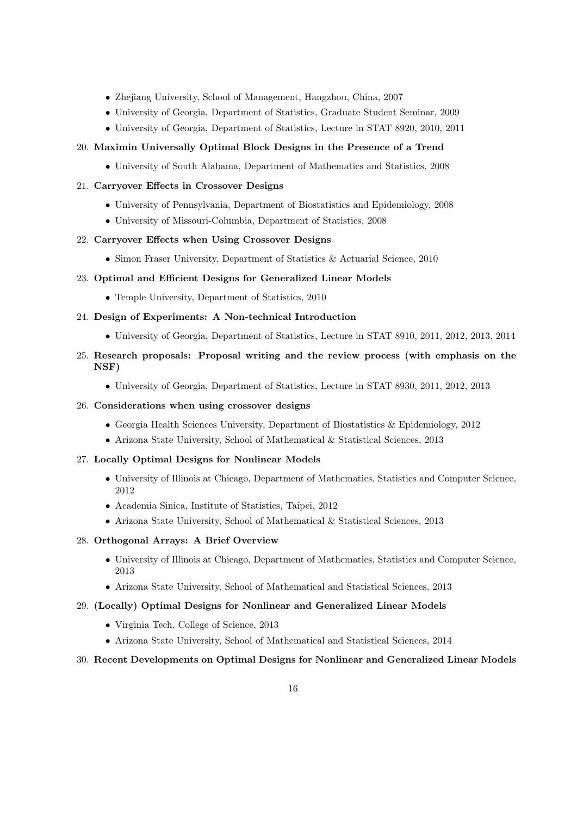- Zhejiang University, School of Management, Hangzhou, China, 2007
- University of Georgia, Department of Statistics, Graduate Student Seminar, 2009
- University of Georgia, Department of Statistics, Lecture in STAT 8920, 2010, 2011

### 20. Maximin Universally Optimal Block Designs in the Presence of a Trend

• University of South Alabama, Department of Mathematics and Statistics, 2008

### 21. Carryover Effects in Crossover Designs

- University of Pennsylvania, Department of Biostatistics and Epidemiology, 2008
- University of Missouri-Columbia, Department of Statistics, 2008

### 22. Carryover Effects when Using Crossover Designs

• Simon Fraser University, Department of Statistics & Actuarial Science, 2010

#### 23. Optimal and Efficient Designs for Generalized Linear Models

• Temple University, Department of Statistics, 2010

#### 24. Design of Experiments: A Non-technical Introduction

- University of Georgia, Department of Statistics, Lecture in STAT 8910, 2011, 2012, 2013, 2014
- 25. Research proposals: Proposal writing and the review process (with emphasis on the NSF)
	- University of Georgia, Department of Statistics, Lecture in STAT 8930, 2011, 2012, 2013

#### 26. Considerations when using crossover designs

- Georgia Health Sciences University, Department of Biostatistics & Epidemiology, 2012
- Arizona State University, School of Mathematical & Statistical Sciences, 2013

#### 27. Locally Optimal Designs for Nonlinear Models

- University of Illinois at Chicago, Department of Mathematics, Statistics and Computer Science, 2012
- Academia Sinica, Institute of Statistics, Taipei, 2012
- Arizona State University, School of Mathematical & Statistical Sciences, 2013

#### 28. Orthogonal Arrays: A Brief Overview

- University of Illinois at Chicago, Department of Mathematics, Statistics and Computer Science, 2013
- Arizona State University, School of Mathematical and Statistical Sciences, 2013

#### 29. (Locally) Optimal Designs for Nonlinear and Generalized Linear Models

- Virginia Tech, College of Science, 2013
- Arizona State University, School of Mathematical and Statistical Sciences, 2014

#### 30. Recent Developments on Optimal Designs for Nonlinear and Generalized Linear Models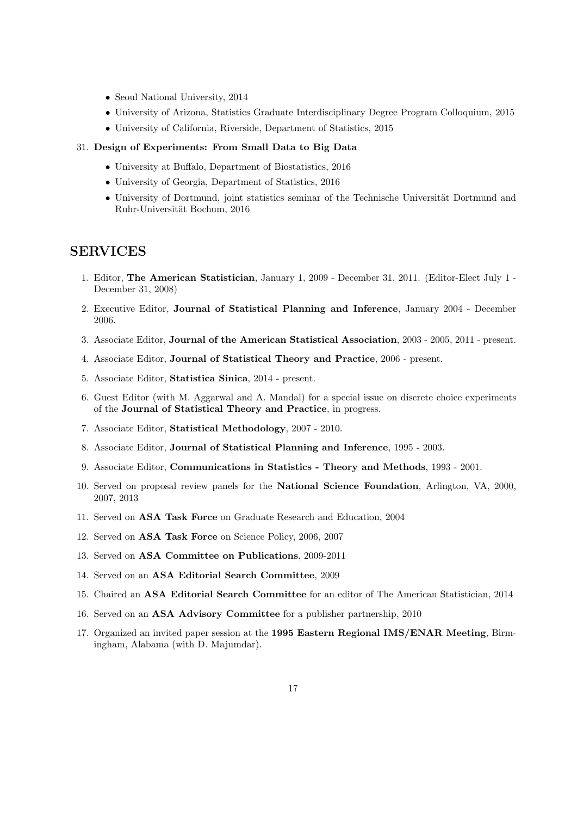- Seoul National University, 2014
- University of Arizona, Statistics Graduate Interdisciplinary Degree Program Colloquium, 2015
- University of California, Riverside, Department of Statistics, 2015

#### 31. Design of Experiments: From Small Data to Big Data

- University at Buffalo, Department of Biostatistics, 2016
- University of Georgia, Department of Statistics, 2016
- University of Dortmund, joint statistics seminar of the Technische Universität Dortmund and Ruhr-Universität Bochum, 2016

## SERVICES

- 1. Editor, The American Statistician, January 1, 2009 December 31, 2011. (Editor-Elect July 1 December 31, 2008)
- 2. Executive Editor, Journal of Statistical Planning and Inference, January 2004 December 2006.
- 3. Associate Editor, Journal of the American Statistical Association, 2003 2005, 2011 present.
- 4. Associate Editor, Journal of Statistical Theory and Practice, 2006 present.
- 5. Associate Editor, Statistica Sinica, 2014 present.
- 6. Guest Editor (with M. Aggarwal and A. Mandal) for a special issue on discrete choice experiments of the Journal of Statistical Theory and Practice, in progress.
- 7. Associate Editor, Statistical Methodology, 2007 2010.
- 8. Associate Editor, Journal of Statistical Planning and Inference, 1995 2003.
- 9. Associate Editor, Communications in Statistics Theory and Methods, 1993 2001.
- 10. Served on proposal review panels for the National Science Foundation, Arlington, VA, 2000, 2007, 2013
- 11. Served on ASA Task Force on Graduate Research and Education, 2004
- 12. Served on ASA Task Force on Science Policy, 2006, 2007
- 13. Served on ASA Committee on Publications, 2009-2011
- 14. Served on an ASA Editorial Search Committee, 2009
- 15. Chaired an ASA Editorial Search Committee for an editor of The American Statistician, 2014
- 16. Served on an ASA Advisory Committee for a publisher partnership, 2010
- 17. Organized an invited paper session at the 1995 Eastern Regional IMS/ENAR Meeting, Birmingham, Alabama (with D. Majumdar).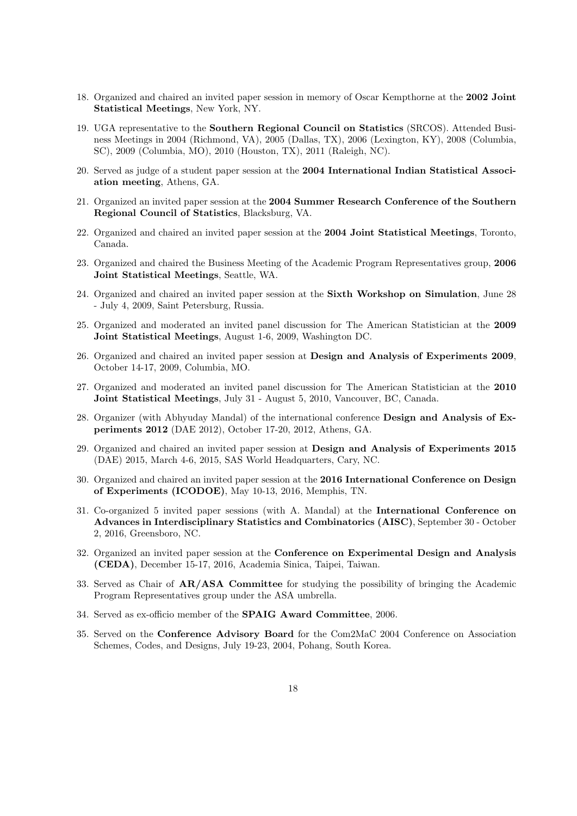- 18. Organized and chaired an invited paper session in memory of Oscar Kempthorne at the 2002 Joint Statistical Meetings, New York, NY.
- 19. UGA representative to the Southern Regional Council on Statistics (SRCOS). Attended Business Meetings in 2004 (Richmond, VA), 2005 (Dallas, TX), 2006 (Lexington, KY), 2008 (Columbia, SC), 2009 (Columbia, MO), 2010 (Houston, TX), 2011 (Raleigh, NC).
- 20. Served as judge of a student paper session at the 2004 International Indian Statistical Association meeting, Athens, GA.
- 21. Organized an invited paper session at the 2004 Summer Research Conference of the Southern Regional Council of Statistics, Blacksburg, VA.
- 22. Organized and chaired an invited paper session at the 2004 Joint Statistical Meetings, Toronto, Canada.
- 23. Organized and chaired the Business Meeting of the Academic Program Representatives group, 2006 Joint Statistical Meetings, Seattle, WA.
- 24. Organized and chaired an invited paper session at the Sixth Workshop on Simulation, June 28 - July 4, 2009, Saint Petersburg, Russia.
- 25. Organized and moderated an invited panel discussion for The American Statistician at the 2009 Joint Statistical Meetings, August 1-6, 2009, Washington DC.
- 26. Organized and chaired an invited paper session at Design and Analysis of Experiments 2009, October 14-17, 2009, Columbia, MO.
- 27. Organized and moderated an invited panel discussion for The American Statistician at the 2010 Joint Statistical Meetings, July 31 - August 5, 2010, Vancouver, BC, Canada.
- 28. Organizer (with Abhyuday Mandal) of the international conference Design and Analysis of Experiments 2012 (DAE 2012), October 17-20, 2012, Athens, GA.
- 29. Organized and chaired an invited paper session at Design and Analysis of Experiments 2015 (DAE) 2015, March 4-6, 2015, SAS World Headquarters, Cary, NC.
- 30. Organized and chaired an invited paper session at the 2016 International Conference on Design of Experiments (ICODOE), May 10-13, 2016, Memphis, TN.
- 31. Co-organized 5 invited paper sessions (with A. Mandal) at the International Conference on Advances in Interdisciplinary Statistics and Combinatorics (AISC), September 30 - October 2, 2016, Greensboro, NC.
- 32. Organized an invited paper session at the Conference on Experimental Design and Analysis (CEDA), December 15-17, 2016, Academia Sinica, Taipei, Taiwan.
- 33. Served as Chair of AR/ASA Committee for studying the possibility of bringing the Academic Program Representatives group under the ASA umbrella.
- 34. Served as ex-officio member of the SPAIG Award Committee, 2006.
- 35. Served on the Conference Advisory Board for the Com2MaC 2004 Conference on Association Schemes, Codes, and Designs, July 19-23, 2004, Pohang, South Korea.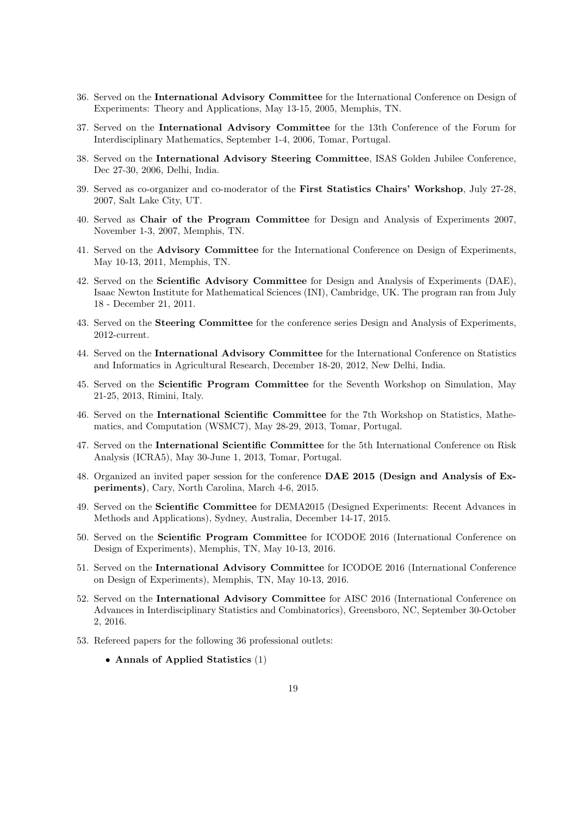- 36. Served on the International Advisory Committee for the International Conference on Design of Experiments: Theory and Applications, May 13-15, 2005, Memphis, TN.
- 37. Served on the International Advisory Committee for the 13th Conference of the Forum for Interdisciplinary Mathematics, September 1-4, 2006, Tomar, Portugal.
- 38. Served on the International Advisory Steering Committee, ISAS Golden Jubilee Conference, Dec 27-30, 2006, Delhi, India.
- 39. Served as co-organizer and co-moderator of the First Statistics Chairs' Workshop, July 27-28, 2007, Salt Lake City, UT.
- 40. Served as Chair of the Program Committee for Design and Analysis of Experiments 2007, November 1-3, 2007, Memphis, TN.
- 41. Served on the Advisory Committee for the International Conference on Design of Experiments, May 10-13, 2011, Memphis, TN.
- 42. Served on the Scientific Advisory Committee for Design and Analysis of Experiments (DAE), Isaac Newton Institute for Mathematical Sciences (INI), Cambridge, UK. The program ran from July 18 - December 21, 2011.
- 43. Served on the **Steering Committee** for the conference series Design and Analysis of Experiments, 2012-current.
- 44. Served on the International Advisory Committee for the International Conference on Statistics and Informatics in Agricultural Research, December 18-20, 2012, New Delhi, India.
- 45. Served on the Scientific Program Committee for the Seventh Workshop on Simulation, May 21-25, 2013, Rimini, Italy.
- 46. Served on the International Scientific Committee for the 7th Workshop on Statistics, Mathematics, and Computation (WSMC7), May 28-29, 2013, Tomar, Portugal.
- 47. Served on the International Scientific Committee for the 5th International Conference on Risk Analysis (ICRA5), May 30-June 1, 2013, Tomar, Portugal.
- 48. Organized an invited paper session for the conference DAE 2015 (Design and Analysis of Experiments), Cary, North Carolina, March 4-6, 2015.
- 49. Served on the Scientific Committee for DEMA2015 (Designed Experiments: Recent Advances in Methods and Applications), Sydney, Australia, December 14-17, 2015.
- 50. Served on the Scientific Program Committee for ICODOE 2016 (International Conference on Design of Experiments), Memphis, TN, May 10-13, 2016.
- 51. Served on the International Advisory Committee for ICODOE 2016 (International Conference on Design of Experiments), Memphis, TN, May 10-13, 2016.
- 52. Served on the International Advisory Committee for AISC 2016 (International Conference on Advances in Interdisciplinary Statistics and Combinatorics), Greensboro, NC, September 30-October 2, 2016.
- 53. Refereed papers for the following 36 professional outlets:
	- Annals of Applied Statistics (1)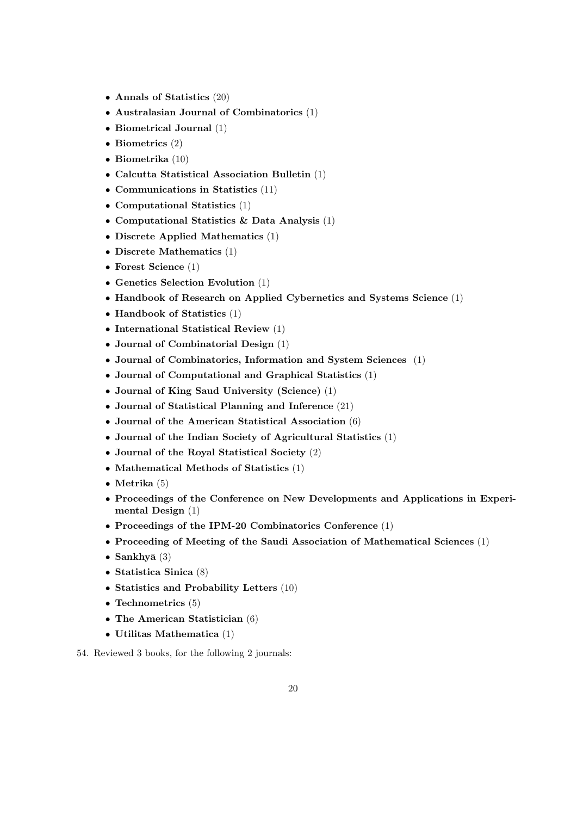- Annals of Statistics (20)
- Australasian Journal of Combinatorics (1)
- Biometrical Journal (1)
- Biometrics (2)
- Biometrika (10)
- Calcutta Statistical Association Bulletin (1)
- Communications in Statistics (11)
- Computational Statistics (1)
- Computational Statistics & Data Analysis (1)
- Discrete Applied Mathematics (1)
- Discrete Mathematics (1)
- Forest Science (1)
- Genetics Selection Evolution (1)
- Handbook of Research on Applied Cybernetics and Systems Science (1)
- Handbook of Statistics (1)
- International Statistical Review (1)
- Journal of Combinatorial Design (1)
- Journal of Combinatorics, Information and System Sciences (1)
- Journal of Computational and Graphical Statistics (1)
- Journal of King Saud University (Science) (1)
- Journal of Statistical Planning and Inference (21)
- Journal of the American Statistical Association (6)
- Journal of the Indian Society of Agricultural Statistics (1)
- Journal of the Royal Statistical Society (2)
- Mathematical Methods of Statistics (1)
- Metrika (5)
- Proceedings of the Conference on New Developments and Applications in Experimental Design (1)
- Proceedings of the IPM-20 Combinatorics Conference (1)
- Proceeding of Meeting of the Saudi Association of Mathematical Sciences (1)
- Sankhyā $(3)$
- Statistica Sinica (8)
- Statistics and Probability Letters (10)
- Technometrics (5)
- The American Statistician (6)
- Utilitas Mathematica (1)
- 54. Reviewed 3 books, for the following 2 journals: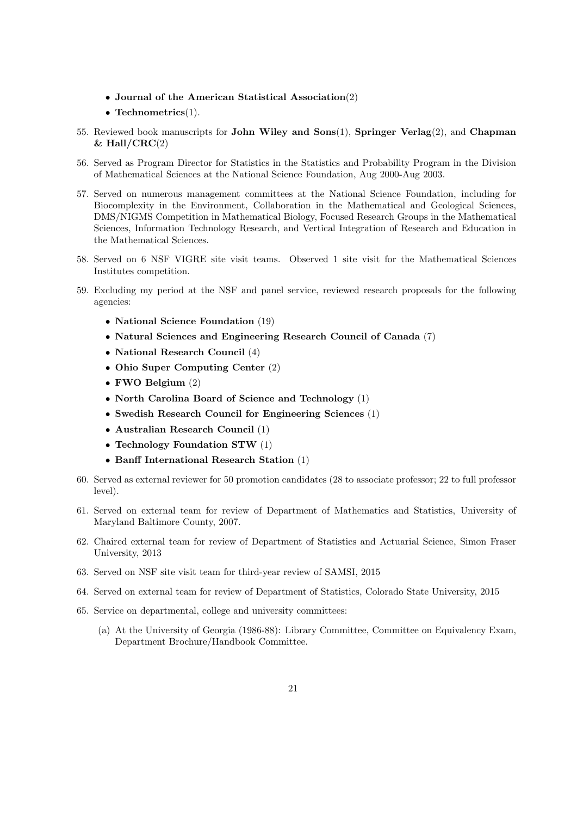- Journal of the American Statistical Association(2)
- Technometrics(1).
- 55. Reviewed book manuscripts for John Wiley and Sons(1), Springer Verlag(2), and Chapman  $& Hall/CRC(2)$
- 56. Served as Program Director for Statistics in the Statistics and Probability Program in the Division of Mathematical Sciences at the National Science Foundation, Aug 2000-Aug 2003.
- 57. Served on numerous management committees at the National Science Foundation, including for Biocomplexity in the Environment, Collaboration in the Mathematical and Geological Sciences, DMS/NIGMS Competition in Mathematical Biology, Focused Research Groups in the Mathematical Sciences, Information Technology Research, and Vertical Integration of Research and Education in the Mathematical Sciences.
- 58. Served on 6 NSF VIGRE site visit teams. Observed 1 site visit for the Mathematical Sciences Institutes competition.
- 59. Excluding my period at the NSF and panel service, reviewed research proposals for the following agencies:
	- National Science Foundation (19)
	- Natural Sciences and Engineering Research Council of Canada (7)
	- National Research Council (4)
	- Ohio Super Computing Center (2)
	- FWO Belgium (2)
	- North Carolina Board of Science and Technology (1)
	- Swedish Research Council for Engineering Sciences (1)
	- Australian Research Council (1)
	- Technology Foundation STW (1)
	- Banff International Research Station (1)
- 60. Served as external reviewer for 50 promotion candidates (28 to associate professor; 22 to full professor level).
- 61. Served on external team for review of Department of Mathematics and Statistics, University of Maryland Baltimore County, 2007.
- 62. Chaired external team for review of Department of Statistics and Actuarial Science, Simon Fraser University, 2013
- 63. Served on NSF site visit team for third-year review of SAMSI, 2015
- 64. Served on external team for review of Department of Statistics, Colorado State University, 2015
- 65. Service on departmental, college and university committees:
	- (a) At the University of Georgia (1986-88): Library Committee, Committee on Equivalency Exam, Department Brochure/Handbook Committee.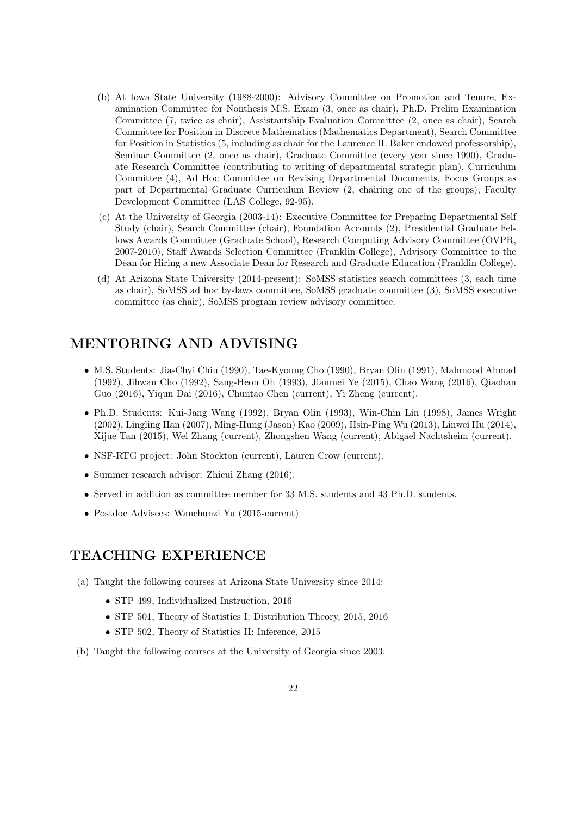- (b) At Iowa State University (1988-2000): Advisory Committee on Promotion and Tenure, Examination Committee for Nonthesis M.S. Exam (3, once as chair), Ph.D. Prelim Examination Committee (7, twice as chair), Assistantship Evaluation Committee (2, once as chair), Search Committee for Position in Discrete Mathematics (Mathematics Department), Search Committee for Position in Statistics (5, including as chair for the Laurence H. Baker endowed professorship), Seminar Committee (2, once as chair), Graduate Committee (every year since 1990), Graduate Research Committee (contributing to writing of departmental strategic plan), Curriculum Committee (4), Ad Hoc Committee on Revising Departmental Documents, Focus Groups as part of Departmental Graduate Curriculum Review (2, chairing one of the groups), Faculty Development Committee (LAS College, 92-95).
- (c) At the University of Georgia (2003-14): Executive Committee for Preparing Departmental Self Study (chair), Search Committee (chair), Foundation Accounts (2), Presidential Graduate Fellows Awards Committee (Graduate School), Research Computing Advisory Committee (OVPR, 2007-2010), Staff Awards Selection Committee (Franklin College), Advisory Committee to the Dean for Hiring a new Associate Dean for Research and Graduate Education (Franklin College).
- (d) At Arizona State University (2014-present): SoMSS statistics search committees (3, each time as chair), SoMSS ad hoc by-laws committee, SoMSS graduate committee (3), SoMSS executive committee (as chair), SoMSS program review advisory committee.

# MENTORING AND ADVISING

- M.S. Students: Jia-Chyi Chiu (1990), Tae-Kyoung Cho (1990), Bryan Olin (1991), Mahmood Ahmad (1992), Jihwan Cho (1992), Sang-Heon Oh (1993), Jianmei Ye (2015), Chao Wang (2016), Qiaohan Guo (2016), Yiqun Dai (2016), Chuntao Chen (current), Yi Zheng (current).
- Ph.D. Students: Kui-Jang Wang (1992), Bryan Olin (1993), Win-Chin Lin (1998), James Wright (2002), Lingling Han (2007), Ming-Hung (Jason) Kao (2009), Hsin-Ping Wu (2013), Linwei Hu (2014), Xijue Tan (2015), Wei Zhang (current), Zhongshen Wang (current), Abigael Nachtsheim (current).
- NSF-RTG project: John Stockton (current), Lauren Crow (current).
- Summer research advisor: Zhicui Zhang (2016).
- Served in addition as committee member for 33 M.S. students and 43 Ph.D. students.
- Postdoc Advisees: Wanchunzi Yu (2015-current)

## TEACHING EXPERIENCE

- (a) Taught the following courses at Arizona State University since 2014:
	- STP 499, Individualized Instruction, 2016
	- STP 501, Theory of Statistics I: Distribution Theory, 2015, 2016
	- STP 502, Theory of Statistics II: Inference, 2015
- (b) Taught the following courses at the University of Georgia since 2003: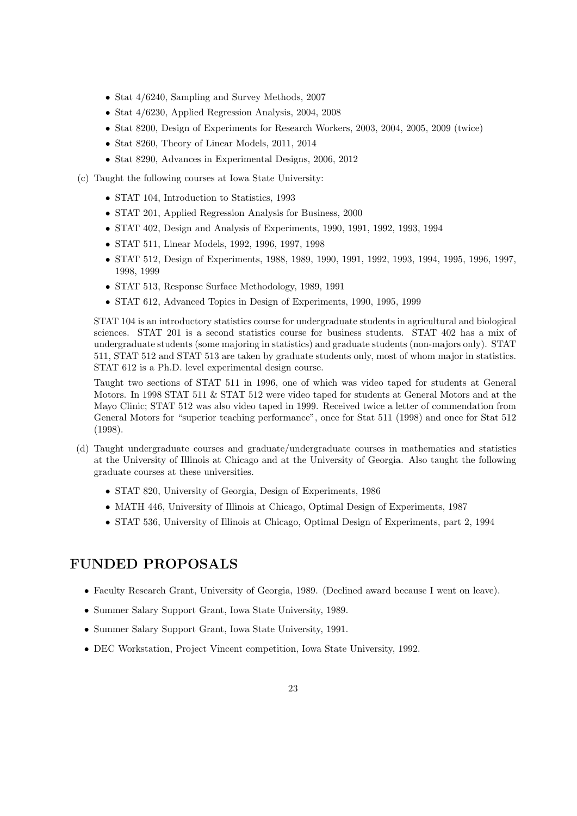- Stat 4/6240, Sampling and Survey Methods, 2007
- Stat 4/6230, Applied Regression Analysis, 2004, 2008
- Stat 8200, Design of Experiments for Research Workers, 2003, 2004, 2005, 2009 (twice)
- Stat 8260, Theory of Linear Models, 2011, 2014
- Stat 8290, Advances in Experimental Designs, 2006, 2012
- (c) Taught the following courses at Iowa State University:
	- STAT 104, Introduction to Statistics, 1993
	- STAT 201, Applied Regression Analysis for Business, 2000
	- STAT 402, Design and Analysis of Experiments, 1990, 1991, 1992, 1993, 1994
	- STAT 511, Linear Models, 1992, 1996, 1997, 1998
	- STAT 512, Design of Experiments, 1988, 1989, 1990, 1991, 1992, 1993, 1994, 1995, 1996, 1997, 1998, 1999
	- STAT 513, Response Surface Methodology, 1989, 1991
	- STAT 612, Advanced Topics in Design of Experiments, 1990, 1995, 1999

STAT 104 is an introductory statistics course for undergraduate students in agricultural and biological sciences. STAT 201 is a second statistics course for business students. STAT 402 has a mix of undergraduate students (some majoring in statistics) and graduate students (non-majors only). STAT 511, STAT 512 and STAT 513 are taken by graduate students only, most of whom major in statistics. STAT 612 is a Ph.D. level experimental design course.

Taught two sections of STAT 511 in 1996, one of which was video taped for students at General Motors. In 1998 STAT 511 & STAT 512 were video taped for students at General Motors and at the Mayo Clinic; STAT 512 was also video taped in 1999. Received twice a letter of commendation from General Motors for "superior teaching performance", once for Stat 511 (1998) and once for Stat 512 (1998).

- (d) Taught undergraduate courses and graduate/undergraduate courses in mathematics and statistics at the University of Illinois at Chicago and at the University of Georgia. Also taught the following graduate courses at these universities.
	- STAT 820, University of Georgia, Design of Experiments, 1986
	- MATH 446, University of Illinois at Chicago, Optimal Design of Experiments, 1987
	- STAT 536, University of Illinois at Chicago, Optimal Design of Experiments, part 2, 1994

## FUNDED PROPOSALS

- Faculty Research Grant, University of Georgia, 1989. (Declined award because I went on leave).
- Summer Salary Support Grant, Iowa State University, 1989.
- Summer Salary Support Grant, Iowa State University, 1991.
- DEC Workstation, Project Vincent competition, Iowa State University, 1992.